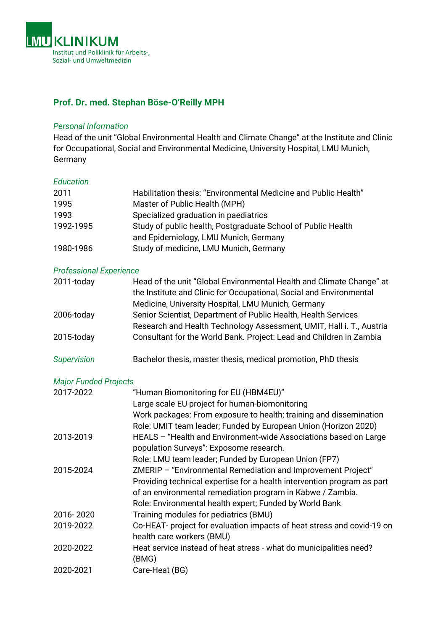

# **Prof. Dr. med. Stephan Böse-O'Reilly MPH**

#### *Personal Information*

Head of the unit "Global Environmental Health and Climate Change" at the Institute and Clinic for Occupational, Social and Environmental Medicine, University Hospital, LMU Munich, Germany

#### *Education*

| 2011<br>1995<br>1993           | Habilitation thesis: "Environmental Medicine and Public Health"<br>Master of Public Health (MPH)<br>Specialized graduation in paediatrics                                                                                                                        |
|--------------------------------|------------------------------------------------------------------------------------------------------------------------------------------------------------------------------------------------------------------------------------------------------------------|
| 1992-1995                      | Study of public health, Postgraduate School of Public Health<br>and Epidemiology, LMU Munich, Germany                                                                                                                                                            |
| 1980-1986                      | Study of medicine, LMU Munich, Germany                                                                                                                                                                                                                           |
| <b>Professional Experience</b> |                                                                                                                                                                                                                                                                  |
| 2011-today                     | Head of the unit "Global Environmental Health and Climate Change" at<br>the Institute and Clinic for Occupational, Social and Environmental<br>Medicine, University Hospital, LMU Munich, Germany                                                                |
| 2006-today                     | Senior Scientist, Department of Public Health, Health Services<br>Research and Health Technology Assessment, UMIT, Hall i. T., Austria                                                                                                                           |
| 2015-today                     | Consultant for the World Bank. Project: Lead and Children in Zambia                                                                                                                                                                                              |
| <b>Supervision</b>             | Bachelor thesis, master thesis, medical promotion, PhD thesis                                                                                                                                                                                                    |
| <b>Major Funded Projects</b>   |                                                                                                                                                                                                                                                                  |
| 2017-2022                      | "Human Biomonitoring for EU (HBM4EU)"<br>Large scale EU project for human-biomonitoring<br>Work packages: From exposure to health; training and dissemination<br>Role: UMIT team leader; Funded by European Union (Horizon 2020)                                 |
| 2013-2019                      | HEALS - "Health and Environment-wide Associations based on Large<br>population Surveys": Exposome research.<br>Role: LMU team leader; Funded by European Union (FP7)                                                                                             |
| 2015-2024                      | ZMERIP - "Environmental Remediation and Improvement Project"<br>Providing technical expertise for a health intervention program as part<br>of an environmental remediation program in Kabwe / Zambia.<br>Role: Environmental health expert; Funded by World Bank |
| 2016-2020                      | Training modules for pediatrics (BMU)                                                                                                                                                                                                                            |
| 2019-2022                      | Co-HEAT- project for evaluation impacts of heat stress and covid-19 on<br>health care workers (BMU)                                                                                                                                                              |
| 2020-2022                      | Heat service instead of heat stress - what do municipalities need?<br>(BMG)                                                                                                                                                                                      |
| 2020-2021                      | Care-Heat (BG)                                                                                                                                                                                                                                                   |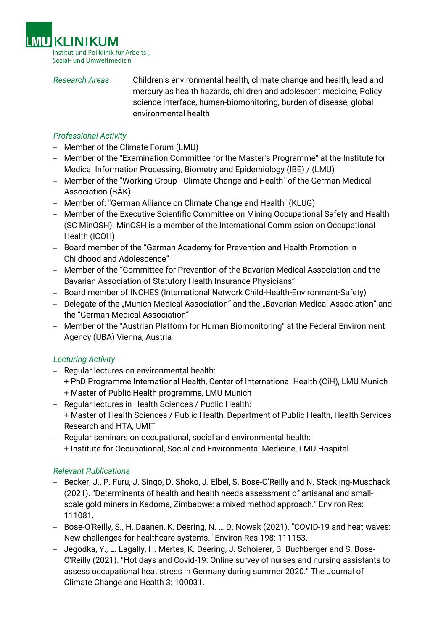

*Research Areas* Children's environmental health, climate change and health, lead and mercury as health hazards, children and adolescent medicine, Policy science interface, human-biomonitoring, burden of disease, global environmental health

## *Professional Activity*

- Member of the Climate Forum (LMU)
- Member of the "Examination Committee for the Master's Programme" at the Institute for Medical Information Processing, Biometry and Epidemiology (IBE) / (LMU)
- Member of the "Working Group Climate Change and Health" of the German Medical Association (BÄK)
- Member of: "German Alliance on Climate Change and Health" (KLUG)
- Member of the Executive Scientific Committee on Mining Occupational Safety and Health (SC MinOSH). MinOSH is a member of the International Commission on Occupational Health (ICOH)
- Board member of the "German Academy for Prevention and Health Promotion in Childhood and Adolescence"
- Member of the "Committee for Prevention of the Bavarian Medical Association and the Bavarian Association of Statutory Health Insurance Physicians"
- Board member of INCHES (International Network Child-Health-Environment-Safety)
- Delegate of the "Munich Medical Association" and the "Bavarian Medical Association" and the "German Medical Association"
- Member of the "Austrian Platform for Human Biomonitoring" at the Federal Environment Agency (UBA) Vienna, Austria

# *Lecturing Activity*

- Regular lectures on environmental health:
	- + PhD Programme International Health, Center of International Health (CiH), LMU Munich + Master of Public Health programme, LMU Munich
- Regular lectures in Health Sciences / Public Health:
- + Master of Health Sciences / Public Health, Department of Public Health, Health Services Research and HTA, UMIT
- Regular seminars on occupational, social and environmental health: + Institute for Occupational, Social and Environmental Medicine, LMU Hospital

### *Relevant Publications*

- Becker, J., P. Furu, J. Singo, D. Shoko, J. Elbel, S. Bose-O'Reilly and N. Steckling-Muschack (2021). "Determinants of health and health needs assessment of artisanal and smallscale gold miners in Kadoma, Zimbabwe: a mixed method approach." Environ Res: 111081.
- Bose-O'Reilly, S., H. Daanen, K. Deering, N. … D. Nowak (2021). "COVID-19 and heat waves: New challenges for healthcare systems." Environ Res 198: 111153.
- Jegodka, Y., L. Lagally, H. Mertes, K. Deering, J. Schoierer, B. Buchberger and S. Bose-O'Reilly (2021). "Hot days and Covid-19: Online survey of nurses and nursing assistants to assess occupational heat stress in Germany during summer 2020." The Journal of Climate Change and Health 3: 100031.